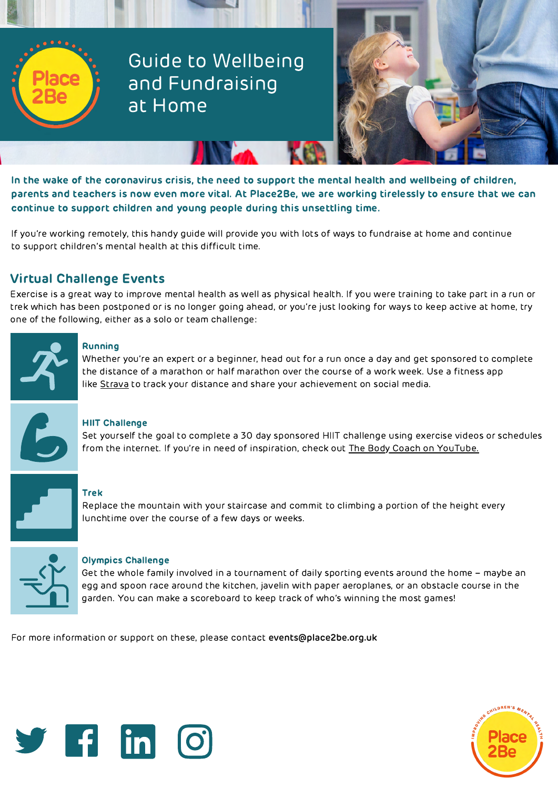

Guide to Wellbeing and Fundraising at Home



In the wake of the coronavirus crisis, the need to support the mental health and wellbeing of children, parents and teachers is now even more vital. At Place2Be, we are working tirelessly to ensure that we can continue to support children and young people during this unsettling time.

If you're working remotely, this handy guide will provide you with lots of ways to fundraise at home and continue to support children's mental health at this difficult time.

# Virtual Challenge Events

Exercise is a great way to improve mental health as well as physical health. If you were training to take part in a run or trek which has been postponed or is no longer going ahead, or you're just looking for ways to keep active at home, try one of the following, either as a solo or team challenge:



# Running

Whether you're an expert or a beginner, head out for a run once a day and get sponsored to complete the distance of a marathon or half marathon over the course of a work week. Use a fitness app like [Strava](https://www.strava.com/) to track your distance and share your achievement on social media.



# HIIT Challenge

Set yourself the goal to complete a 30 day sponsored HIIT challenge using exercise videos or schedules from the internet. If you're in need of inspiration, check out **[The Body Coach on YouTube.](https://www.youtube.com/channel/UCAxW1XT0iEJo0TYlRfn6rYQ)** 



## Trek

Replace the mountain with your staircase and commit to climbing a portion of the height every lunchtime over the course of a few days or weeks.



## Olympics Challenge

Get the whole family involved in a tournament of daily sporting events around the home – maybe an egg and spoon race around the kitchen, javelin with paper aeroplanes, or an obstacle course in the garden. You can make a scoreboard to keep track of who's winning the most games!

For more information or support on these, please contact **events@place2be.org.uk**